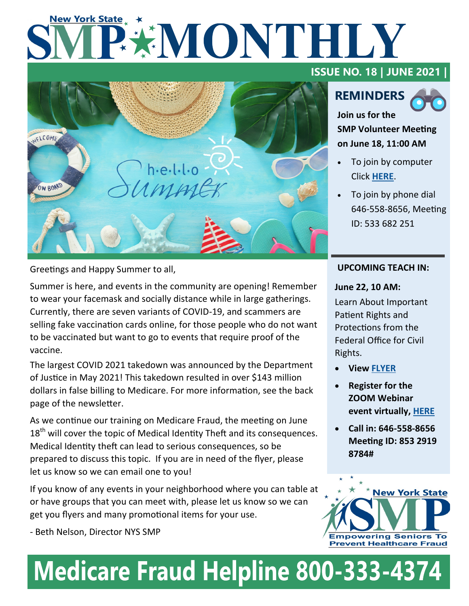# **New York State** PENONTHLY



Greetings and Happy Summer to all,

Summer is here, and events in the community are opening! Remember to wear your facemask and socially distance while in large gatherings. Currently, there are seven variants of COVID-19, and scammers are selling fake vaccination cards online, for those people who do not want to be vaccinated but want to go to events that require proof of the vaccine.

The largest COVID 2021 takedown was announced by the Department of Justice in May 2021! This takedown resulted in over \$143 million dollars in false billing to Medicare. For more information, see the back page of the newsletter.

As we continue our training on Medicare Fraud, the meeting on June  $18<sup>th</sup>$  will cover the topic of Medical Identity Theft and its consequences. Medical Identity theft can lead to serious consequences, so be prepared to discuss this topic. If you are in need of the flyer, please let us know so we can email one to you!

If you know of any events in your neighborhood where you can table at or have groups that you can meet with, please let us know so we can get you flyers and many promotional items for your use.

- Beth Nelson, Director NYS SMP

## **ISSUE NO. 18 | JUNE 2021 |**

# **REMINDERS**



**Join us for the SMP Volunteer Meeting on June 18, 11:00 AM** 

- To join by computer Click **[HERE](https://us02web.zoom.us/j/5336822516)**.
- To join by phone dial 646-558-8656, Meeting ID: 533 682 251

#### **UPCOMING TEACH IN:**

#### **June 22, 10 AM:**

Learn About Important Patient Rights and Protections from the Federal Office for Civil Rights.

- **View [FLYER](https://www.nysenior.org/wp-content/uploads/2021/06/Patients-Advocates-Telephone-Teach-in-for-JUNE-22-2021.pdf)**
- **Register for the ZOOM Webinar event virtually, [HERE](https://us02web.zoom.us/webinar/register/WN_qtm2L0HjRWOxfnUOgdovow)**
- **Call in: 646-558-8656 Meeting ID: 853 2919 8784#**



# **Medicare Fraud Helpline 800-333-4374**